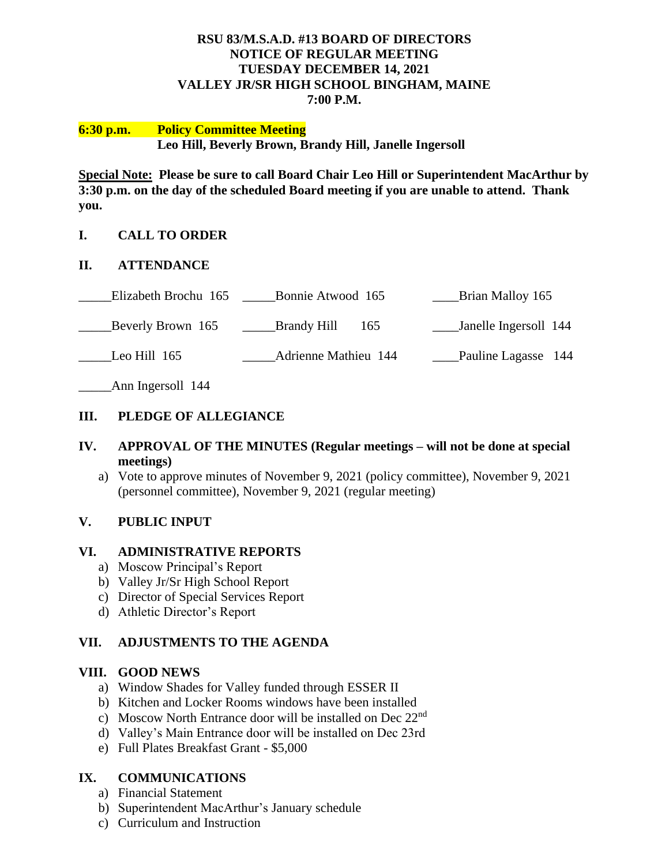## **RSU 83/M.S.A.D. #13 BOARD OF DIRECTORS NOTICE OF REGULAR MEETING TUESDAY DECEMBER 14, 2021 VALLEY JR/SR HIGH SCHOOL BINGHAM, MAINE 7:00 P.M.**

### **6:30 p.m. Policy Committee Meeting Leo Hill, Beverly Brown, Brandy Hill, Janelle Ingersoll**

**Special Note: Please be sure to call Board Chair Leo Hill or Superintendent MacArthur by 3:30 p.m. on the day of the scheduled Board meeting if you are unable to attend. Thank you.**

## **I. CALL TO ORDER**

### **II. ATTENDANCE**

| Bonnie Atwood 165                    | Brian Malloy 165      |
|--------------------------------------|-----------------------|
| <b>Example 19 Brandy Hill</b><br>165 | Janelle Ingersoll 144 |
| <b>Adrienne Mathieu 144</b>          | Pauline Lagasse 144   |
|                                      |                       |

\_\_\_\_\_Ann Ingersoll 144

## **III. PLEDGE OF ALLEGIANCE**

## **IV. APPROVAL OF THE MINUTES (Regular meetings – will not be done at special meetings)**

a) Vote to approve minutes of November 9, 2021 (policy committee), November 9, 2021 (personnel committee), November 9, 2021 (regular meeting)

### **V. PUBLIC INPUT**

### **VI. ADMINISTRATIVE REPORTS**

- a) Moscow Principal's Report
- b) Valley Jr/Sr High School Report
- c) Director of Special Services Report
- d) Athletic Director's Report

## **VII. ADJUSTMENTS TO THE AGENDA**

### **VIII. GOOD NEWS**

- a) Window Shades for Valley funded through ESSER II
- b) Kitchen and Locker Rooms windows have been installed
- c) Moscow North Entrance door will be installed on Dec 22nd
- d) Valley's Main Entrance door will be installed on Dec 23rd
- e) Full Plates Breakfast Grant \$5,000

# **IX. COMMUNICATIONS**

- a) Financial Statement
- b) Superintendent MacArthur's January schedule
- c) Curriculum and Instruction